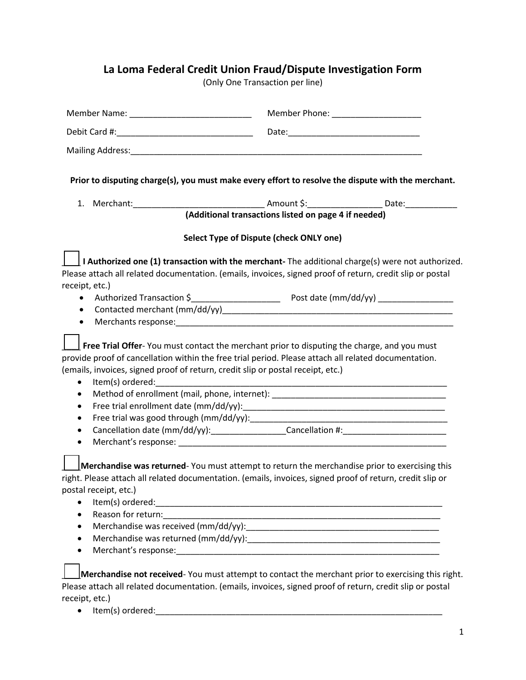## **La Loma Federal Credit Union Fraud/Dispute Investigation Form**

(Only One Transaction per line)

| Member Name: _________________________________                                                                                                                                    | Member Phone: New York Phone State Phone State Phone State Phone State Phone State Phone State Phone State Phone State Phone State Phone State Phone State Phone State Phone State Phone State Phone State Phone State Phone S                                                                                                                                              |
|-----------------------------------------------------------------------------------------------------------------------------------------------------------------------------------|-----------------------------------------------------------------------------------------------------------------------------------------------------------------------------------------------------------------------------------------------------------------------------------------------------------------------------------------------------------------------------|
|                                                                                                                                                                                   |                                                                                                                                                                                                                                                                                                                                                                             |
|                                                                                                                                                                                   |                                                                                                                                                                                                                                                                                                                                                                             |
|                                                                                                                                                                                   | Prior to disputing charge(s), you must make every effort to resolve the dispute with the merchant.                                                                                                                                                                                                                                                                          |
|                                                                                                                                                                                   |                                                                                                                                                                                                                                                                                                                                                                             |
|                                                                                                                                                                                   | (Additional transactions listed on page 4 if needed)                                                                                                                                                                                                                                                                                                                        |
|                                                                                                                                                                                   | Select Type of Dispute (check ONLY one)                                                                                                                                                                                                                                                                                                                                     |
| receipt, etc.)                                                                                                                                                                    | I Authorized one (1) transaction with the merchant- The additional charge(s) were not authorized.<br>Please attach all related documentation. (emails, invoices, signed proof of return, credit slip or postal                                                                                                                                                              |
|                                                                                                                                                                                   |                                                                                                                                                                                                                                                                                                                                                                             |
| ٠                                                                                                                                                                                 |                                                                                                                                                                                                                                                                                                                                                                             |
| $\bullet$                                                                                                                                                                         |                                                                                                                                                                                                                                                                                                                                                                             |
| (emails, invoices, signed proof of return, credit slip or postal receipt, etc.)<br>Item(s) ordered:<br>$\bullet$<br>$\bullet$<br>$\bullet$<br>$\bullet$<br>$\bullet$<br>$\bullet$ | Free Trial Offer-You must contact the merchant prior to disputing the charge, and you must<br>provide proof of cancellation within the free trial period. Please attach all related documentation.<br>Method of enrollment (mail, phone, internet): ___________________________________<br>Cancellation date (mm/dd/yy):___________________Cancellation #:_________________ |
| postal receipt, etc.)                                                                                                                                                             | Merchandise was returned-You must attempt to return the merchandise prior to exercising this<br>right. Please attach all related documentation. (emails, invoices, signed proof of return, credit slip or                                                                                                                                                                   |
| $\bullet$                                                                                                                                                                         |                                                                                                                                                                                                                                                                                                                                                                             |
| Reason for return:<br>$\bullet$                                                                                                                                                   | <u> 1989 - Johann John Harry, mars and deutscher Programment († 1908)</u>                                                                                                                                                                                                                                                                                                   |
| $\bullet$                                                                                                                                                                         |                                                                                                                                                                                                                                                                                                                                                                             |
| $\bullet$                                                                                                                                                                         |                                                                                                                                                                                                                                                                                                                                                                             |
| $\bullet$                                                                                                                                                                         |                                                                                                                                                                                                                                                                                                                                                                             |
| receipt, etc.)<br>• Item(s) ordered:                                                                                                                                              | Merchandise not received-You must attempt to contact the merchant prior to exercising this right.<br>Please attach all related documentation. (emails, invoices, signed proof of return, credit slip or postal                                                                                                                                                              |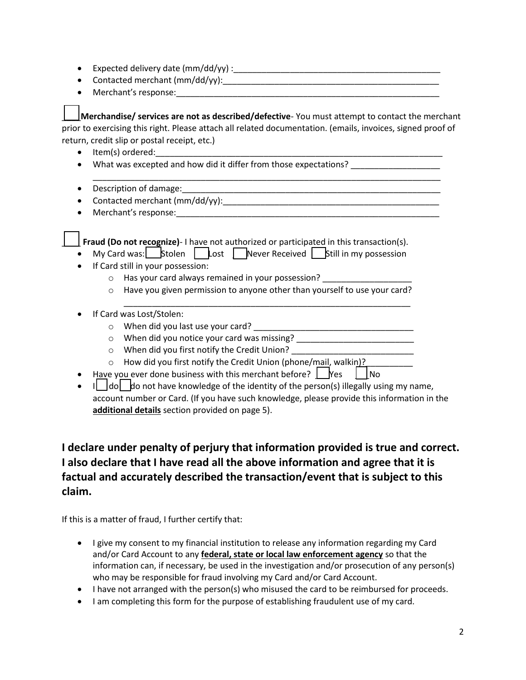- Expected delivery date (mm/dd/yy) :\_\_\_\_\_\_\_\_\_\_\_\_\_\_\_\_\_\_\_\_\_\_\_\_\_\_\_\_\_\_\_\_\_\_\_\_\_\_\_\_\_\_\_\_
- Contacted merchant  $(mm/dd/yy)$ :
- Merchant's response:\_\_\_\_\_\_\_\_\_\_\_\_\_\_\_\_\_\_\_\_\_\_\_\_\_\_\_\_\_\_\_\_\_\_\_\_\_\_\_\_\_\_\_\_\_\_\_\_\_\_\_\_\_\_\_\_

\_\_\_\_**Merchandise/ services are not as described/defective**- You must attempt to contact the merchant prior to exercising this right. Please attach all related documentation. (emails, invoices, signed proof of return, credit slip or postal receipt, etc.)

- $\bullet$  Item(s) ordered:
- What was excepted and how did it differ from those expectations?
- \_\_\_\_\_\_\_\_\_\_\_\_\_\_\_\_\_\_\_\_\_\_\_\_\_\_\_\_\_\_\_\_\_\_\_\_\_\_\_\_\_\_\_\_\_\_\_\_\_\_\_\_\_\_\_\_\_\_\_\_\_\_\_\_\_\_\_\_\_\_\_\_\_\_ • Description of damage: ending the contract of the contract of damage:
- Contacted merchant (mm/dd/yy):
- Merchant's response:

**Fraud (Do not recognize)**- I have not authorized or participated in this transaction(s).

- My Card was: Stolen Lost Never Received Still in my possession
- **If Card still in your possession:** 
	- $\circ$  Has your card always remained in your possession?
	- $\circ$  Have you given permission to anyone other than yourself to use your card?

\_\_\_\_\_\_\_\_\_\_\_\_\_\_\_\_\_\_\_\_\_\_\_\_\_\_\_\_\_\_\_\_\_\_\_\_\_\_\_\_\_\_\_\_\_\_\_\_\_\_\_\_\_\_\_\_\_\_\_\_\_

- If Card was Lost/Stolen:
	- o When did you last use your card?
	- o When did you notice your card was missing? \_\_\_\_\_\_\_\_\_\_\_\_\_\_\_\_\_\_\_\_\_\_\_\_\_\_\_\_\_\_\_\_\_\_\_
	- $\circ$  When did you first notify the Credit Union?
	- o How did you first notify the Credit Union (phone/mail, walkin)?\_\_\_\_\_\_\_\_\_\_
- Have you ever done business with this merchant before?  $\Box$  Yes  $\Box$  No
- $\bullet$  I  $\parallel$  do  $\parallel$  do not have knowledge of the identity of the person(s) illegally using my name, account number or Card. (If you have such knowledge, please provide this information in the **additional details** section provided on page 5).

## **I declare under penalty of perjury that information provided is true and correct. I also declare that I have read all the above information and agree that it is factual and accurately described the transaction/event that is subject to this claim.**

If this is a matter of fraud, I further certify that:

- I give my consent to my financial institution to release any information regarding my Card and/or Card Account to any **federal, state or local law enforcement agency** so that the information can, if necessary, be used in the investigation and/or prosecution of any person(s) who may be responsible for fraud involving my Card and/or Card Account.
- I have not arranged with the person(s) who misused the card to be reimbursed for proceeds.
- I am completing this form for the purpose of establishing fraudulent use of my card.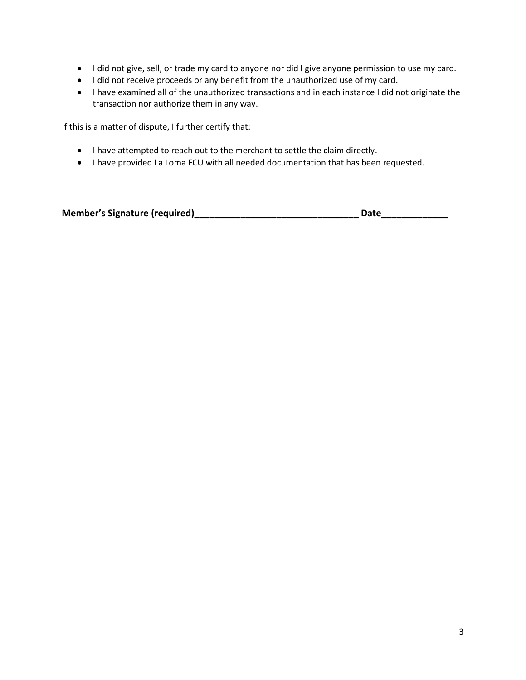- I did not give, sell, or trade my card to anyone nor did I give anyone permission to use my card.
- $\bullet$  I did not receive proceeds or any benefit from the unauthorized use of my card.
- I have examined all of the unauthorized transactions and in each instance I did not originate the transaction nor authorize them in any way.

If this is a matter of dispute, I further certify that:

- I have attempted to reach out to the merchant to settle the claim directly.
- I have provided La Loma FCU with all needed documentation that has been requested.

| <b>Member's Signature (required)</b> | Date |
|--------------------------------------|------|
|--------------------------------------|------|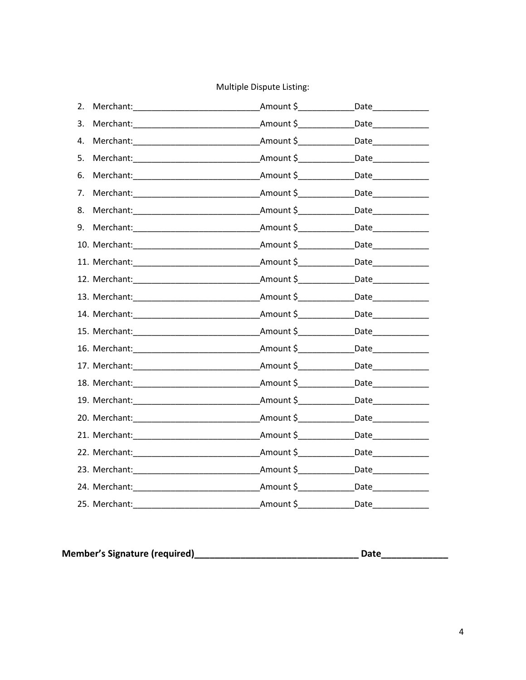## Multiple Dispute Listing:

| 2. |                                       | Amount \$___________                              | Date_____________ |
|----|---------------------------------------|---------------------------------------------------|-------------------|
| 3. | Merchant:                             | Amount \$                                         | Date              |
| 4. |                                       | _Amount \$_________________Date________________   |                   |
| 5. |                                       | Amount \$________________Date_______________      |                   |
| 6. |                                       | Amount \$                                         | Date              |
| 7. |                                       | Amount $\zeta$                                    |                   |
| 8. | Merchant: Management of the Merchant: | Amount \$ ___________________Date________________ |                   |
| 9. |                                       | _Amount \$__________________Date________________  |                   |
|    |                                       | _Amount \$_________________Date________________   |                   |
|    |                                       | Amount \$ ________________Date_________________   |                   |
|    |                                       | _Amount \$_________________Date________________   |                   |
|    |                                       |                                                   |                   |
|    |                                       | Amount \$__________________Date_______________    |                   |
|    |                                       | _Amount \$_________________Date________________   |                   |
|    |                                       | Amount \$_________________Date_______________     |                   |
|    | 17. Merchant: 17. Merchant:           | _Amount \$_________________Date________________   |                   |
|    |                                       | Amount \$                                         |                   |
|    |                                       | Amount \$_____________                            |                   |
|    |                                       | Amount \$                                         |                   |
|    | 21. Merchant: 2008                    |                                                   |                   |
|    |                                       | Amount \$                                         |                   |
|    | 23. Merchant: 2008                    | Amount \$________________Date_______________      |                   |
|    |                                       | _Amount \$________________Date_______________     |                   |
|    | 25. Merchant:                         | Amount \$                                         | Date              |

| <b>Member's Signature (required)</b><br>Date |  |
|----------------------------------------------|--|
|----------------------------------------------|--|